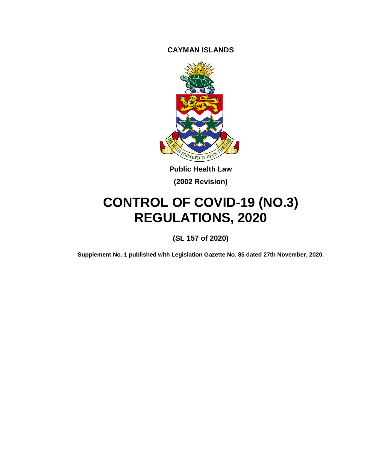**CAYMAN ISLANDS**



**Public Health Law (2002 Revision)**

# **CONTROL OF COVID-19 (NO.3) REGULATIONS, 2020**

**(SL 157 of 2020)**

**Supplement No. 1 published with Legislation Gazette No. 85 dated 27th November, 2020.**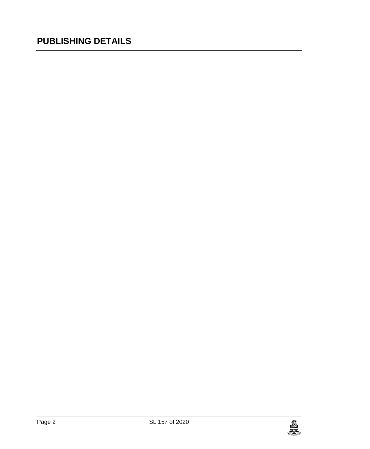### **PUBLISHING DETAILS**

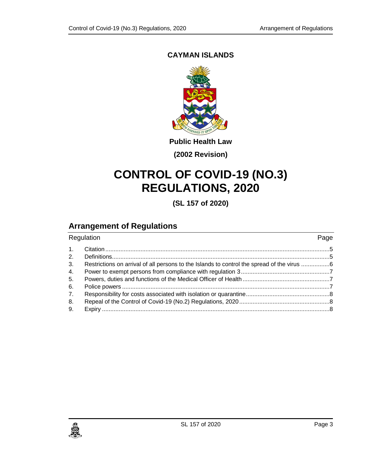#### **CAYMAN ISLANDS**



**Public Health Law**

**(2002 Revision)**

## **CONTROL OF COVID-19 (NO.3) REGULATIONS, 2020**

**(SL 157 of 2020)**

### **Arrangement of Regulations**

| Regulation     |                                                                                          | Page |
|----------------|------------------------------------------------------------------------------------------|------|
| $\mathbf{1}$ . |                                                                                          |      |
| 2.             |                                                                                          |      |
| 3.             | Restrictions on arrival of all persons to the Islands to control the spread of the virus |      |
| 4.             |                                                                                          |      |
| 5.             |                                                                                          |      |
| 6.             |                                                                                          |      |
| 7 <sub>1</sub> |                                                                                          |      |
| 8.             |                                                                                          |      |
| 9.             |                                                                                          |      |
|                |                                                                                          |      |

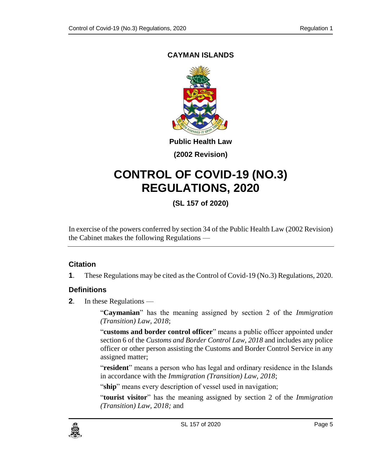#### <span id="page-4-0"></span>**CAYMAN ISLANDS**



**Public Health Law**

**(2002 Revision)**

## **CONTROL OF COVID-19 (NO.3) REGULATIONS, 2020**

**(SL 157 of 2020)**

In exercise of the powers conferred by section 34 of the Public Health Law (2002 Revision) the Cabinet makes the following Regulations —

#### **1. Citation**

**1**. These Regulations may be cited as the Control of Covid-19 (No.3) Regulations, 2020.

#### <span id="page-4-1"></span>**2. Definitions**

**2**. In these Regulations —

"**Caymanian**" has the meaning assigned by section 2 of the *Immigration (Transition) Law, 2018*;

"**customs and border control officer**" means a public officer appointed under section 6 of the *Customs and Border Control Law, 2018* and includes any police officer or other person assisting the Customs and Border Control Service in any assigned matter;

"**resident**" means a person who has legal and ordinary residence in the Islands in accordance with the *Immigration (Transition) Law, 2018*;

"ship" means every description of vessel used in navigation;

"**tourist visitor**" has the meaning assigned by section 2 of the *Immigration (Transition) Law, 2018;* and

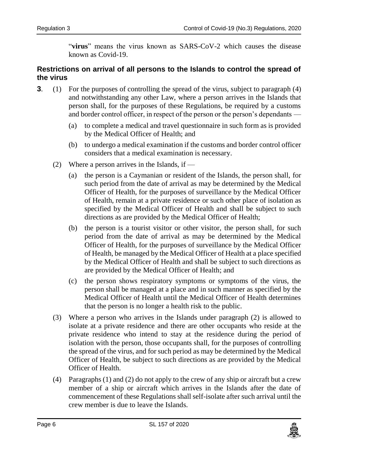"**virus**" means the virus known as SARS-CoV-2 which causes the disease known as Covid-19.

#### <span id="page-5-0"></span>**3. Restrictions on arrival of all persons to the Islands to control the spread of the virus**

- **3**. (1) For the purposes of controlling the spread of the virus, subject to paragraph (4) and notwithstanding any other Law, where a person arrives in the Islands that person shall, for the purposes of these Regulations, be required by a customs and border control officer, in respect of the person or the person's dependants —
	- (a) to complete a medical and travel questionnaire in such form as is provided by the Medical Officer of Health; and
	- (b) to undergo a medical examination if the customs and border control officer considers that a medical examination is necessary.
	- (2) Where a person arrives in the Islands, if  $-$ 
		- (a) the person is a Caymanian or resident of the Islands, the person shall, for such period from the date of arrival as may be determined by the Medical Officer of Health, for the purposes of surveillance by the Medical Officer of Health, remain at a private residence or such other place of isolation as specified by the Medical Officer of Health and shall be subject to such directions as are provided by the Medical Officer of Health;
		- (b) the person is a tourist visitor or other visitor, the person shall, for such period from the date of arrival as may be determined by the Medical Officer of Health, for the purposes of surveillance by the Medical Officer of Health, be managed by the Medical Officer of Health at a place specified by the Medical Officer of Health and shall be subject to such directions as are provided by the Medical Officer of Health; and
		- (c) the person shows respiratory symptoms or symptoms of the virus, the person shall be managed at a place and in such manner as specified by the Medical Officer of Health until the Medical Officer of Health determines that the person is no longer a health risk to the public.
	- (3) Where a person who arrives in the Islands under paragraph (2) is allowed to isolate at a private residence and there are other occupants who reside at the private residence who intend to stay at the residence during the period of isolation with the person, those occupants shall, for the purposes of controlling the spread of the virus, and for such period as may be determined by the Medical Officer of Health, be subject to such directions as are provided by the Medical Officer of Health.
	- (4) Paragraphs (1) and (2) do not apply to the crew of any ship or aircraft but a crew member of a ship or aircraft which arrives in the Islands after the date of commencement of these Regulations shall self-isolate after such arrival until the crew member is due to leave the Islands.

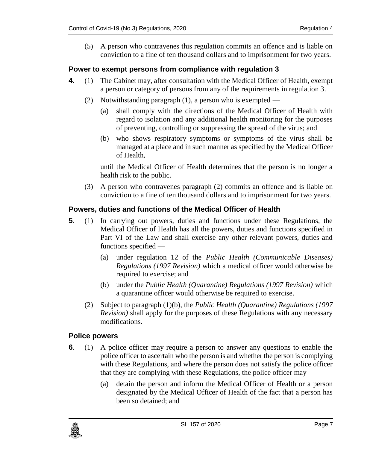(5) A person who contravenes this regulation commits an offence and is liable on conviction to a fine of ten thousand dollars and to imprisonment for two years.

#### <span id="page-6-0"></span>**4. Power to exempt persons from compliance with regulation 3**

- **4**. (1) The Cabinet may, after consultation with the Medical Officer of Health, exempt a person or category of persons from any of the requirements in regulation 3.
	- (2) Notwithstanding paragraph (1), a person who is exempted
		- (a) shall comply with the directions of the Medical Officer of Health with regard to isolation and any additional health monitoring for the purposes of preventing, controlling or suppressing the spread of the virus; and
		- (b) who shows respiratory symptoms or symptoms of the virus shall be managed at a place and in such manner as specified by the Medical Officer of Health,

until the Medical Officer of Health determines that the person is no longer a health risk to the public.

(3) A person who contravenes paragraph (2) commits an offence and is liable on conviction to a fine of ten thousand dollars and to imprisonment for two years.

#### <span id="page-6-1"></span>**5. Powers, duties and functions of the Medical Officer of Health**

- **5**. (1) In carrying out powers, duties and functions under these Regulations, the Medical Officer of Health has all the powers, duties and functions specified in Part VI of the Law and shall exercise any other relevant powers, duties and functions specified —
	- (a) under regulation 12 of the *Public Health (Communicable Diseases) Regulations (1997 Revision)* which a medical officer would otherwise be required to exercise; and
	- (b) under the *Public Health (Quarantine) Regulations (1997 Revision)* which a quarantine officer would otherwise be required to exercise.
	- (2) Subject to paragraph (1)(b), the *Public Health (Quarantine) Regulations (1997 Revision)* shall apply for the purposes of these Regulations with any necessary modifications.

#### <span id="page-6-2"></span>**6. Police powers**

- **6**. (1) A police officer may require a person to answer any questions to enable the police officer to ascertain who the person is and whether the person is complying with these Regulations, and where the person does not satisfy the police officer that they are complying with these Regulations, the police officer may —
	- (a) detain the person and inform the Medical Officer of Health or a person designated by the Medical Officer of Health of the fact that a person has been so detained; and